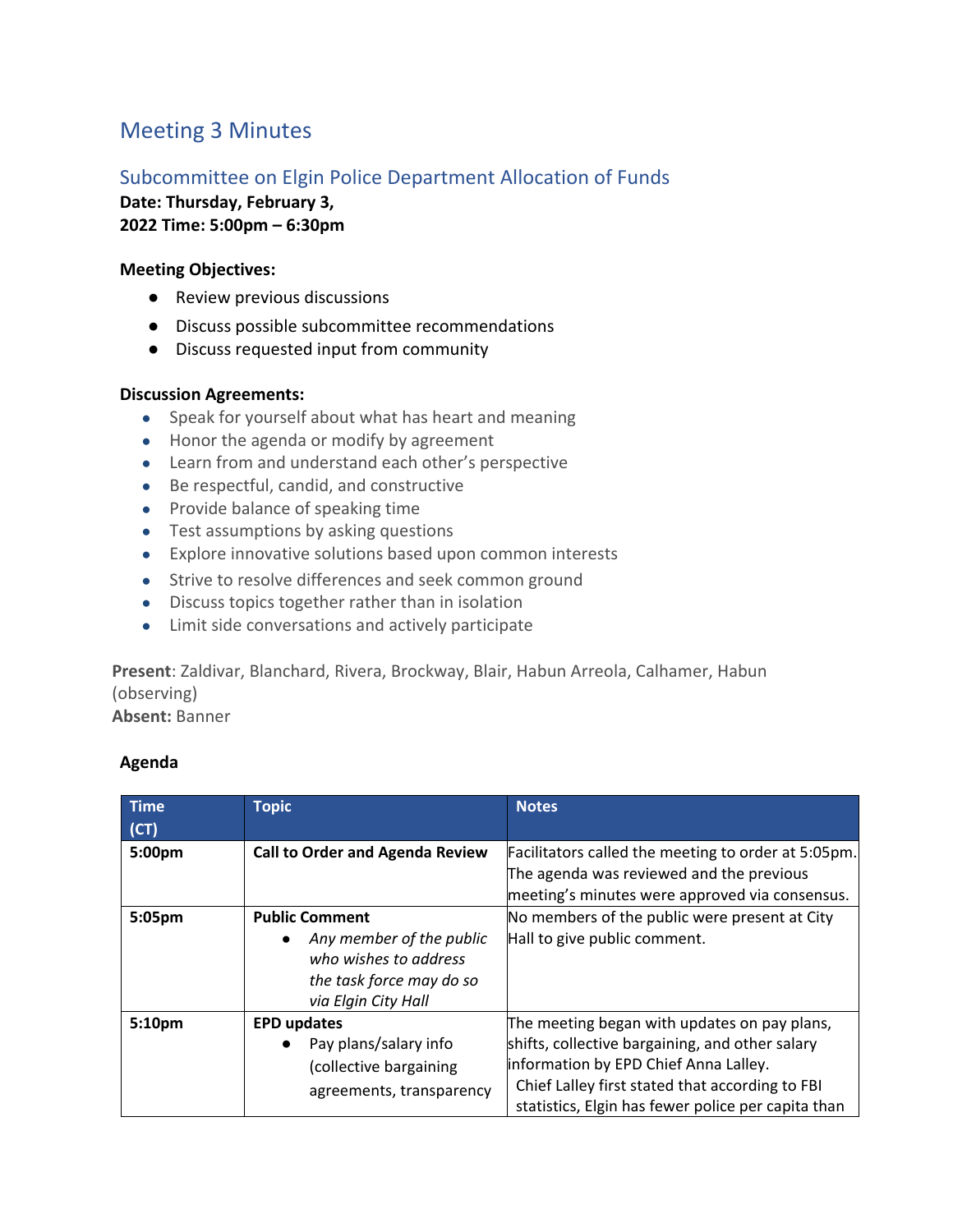# Meeting 3 Minutes

## Subcommittee on Elgin Police Department Allocation of Funds

**Date: Thursday, February 3, 2022 Time: 5:00pm – 6:30pm**

#### **Meeting Objectives:**

- Review previous discussions
- Discuss possible subcommittee recommendations
- Discuss requested input from community

#### **Discussion Agreements:**

- Speak for yourself about what has heart and meaning
- Honor the agenda or modify by agreement
- Learn from and understand each other's perspective
- Be respectful, candid, and constructive
- Provide balance of speaking time
- Test assumptions by asking questions
- Explore innovative solutions based upon common interests
- Strive to resolve differences and seek common ground
- Discuss topics together rather than in isolation
- Limit side conversations and actively participate

**Present**: Zaldivar, Blanchard, Rivera, Brockway, Blair, Habun Arreola, Calhamer, Habun (observing)

**Absent:** Banner

### **Agenda**

| <b>Time</b><br>(CT) | <b>Topic</b>                                                                                                                  | <b>Notes</b>                                                                                                                                                                                                                                      |
|---------------------|-------------------------------------------------------------------------------------------------------------------------------|---------------------------------------------------------------------------------------------------------------------------------------------------------------------------------------------------------------------------------------------------|
| 5:00pm              | <b>Call to Order and Agenda Review</b>                                                                                        | Facilitators called the meeting to order at 5:05pm.<br>The agenda was reviewed and the previous<br>meeting's minutes were approved via consensus.                                                                                                 |
| 5:05pm              | <b>Public Comment</b><br>Any member of the public<br>who wishes to address<br>the task force may do so<br>via Elgin City Hall | No members of the public were present at City<br>Hall to give public comment.                                                                                                                                                                     |
| 5:10pm              | <b>EPD updates</b><br>Pay plans/salary info<br>(collective bargaining<br>agreements, transparency                             | The meeting began with updates on pay plans,<br>shifts, collective bargaining, and other salary<br>information by EPD Chief Anna Lalley.<br>Chief Lalley first stated that according to FBI<br>statistics, Elgin has fewer police per capita than |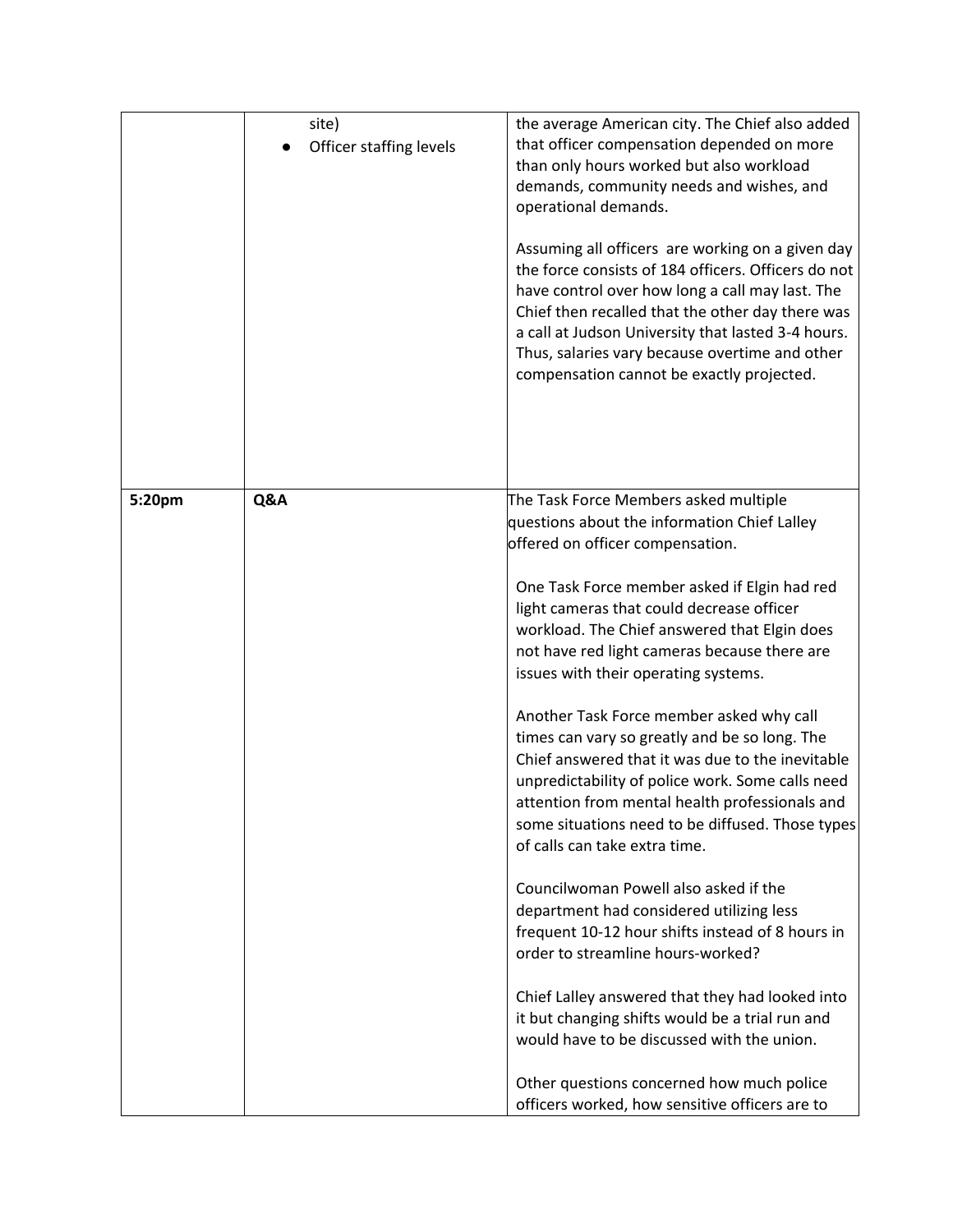|        | site)<br>Officer staffing levels | the average American city. The Chief also added<br>that officer compensation depended on more<br>than only hours worked but also workload<br>demands, community needs and wishes, and<br>operational demands.<br>Assuming all officers are working on a given day<br>the force consists of 184 officers. Officers do not<br>have control over how long a call may last. The<br>Chief then recalled that the other day there was<br>a call at Judson University that lasted 3-4 hours.<br>Thus, salaries vary because overtime and other<br>compensation cannot be exactly projected.                                                                                                                                                                                                                                                                                                                                                                                                                                                                                                                                                        |
|--------|----------------------------------|---------------------------------------------------------------------------------------------------------------------------------------------------------------------------------------------------------------------------------------------------------------------------------------------------------------------------------------------------------------------------------------------------------------------------------------------------------------------------------------------------------------------------------------------------------------------------------------------------------------------------------------------------------------------------------------------------------------------------------------------------------------------------------------------------------------------------------------------------------------------------------------------------------------------------------------------------------------------------------------------------------------------------------------------------------------------------------------------------------------------------------------------|
| 5:20pm | Q&A                              | The Task Force Members asked multiple<br>questions about the information Chief Lalley<br>offered on officer compensation.<br>One Task Force member asked if Elgin had red<br>light cameras that could decrease officer<br>workload. The Chief answered that Elgin does<br>not have red light cameras because there are<br>issues with their operating systems.<br>Another Task Force member asked why call<br>times can vary so greatly and be so long. The<br>Chief answered that it was due to the inevitable<br>unpredictability of police work. Some calls need<br>attention from mental health professionals and<br>some situations need to be diffused. Those types<br>of calls can take extra time.<br>Councilwoman Powell also asked if the<br>department had considered utilizing less<br>frequent 10-12 hour shifts instead of 8 hours in<br>order to streamline hours-worked?<br>Chief Lalley answered that they had looked into<br>it but changing shifts would be a trial run and<br>would have to be discussed with the union.<br>Other questions concerned how much police<br>officers worked, how sensitive officers are to |